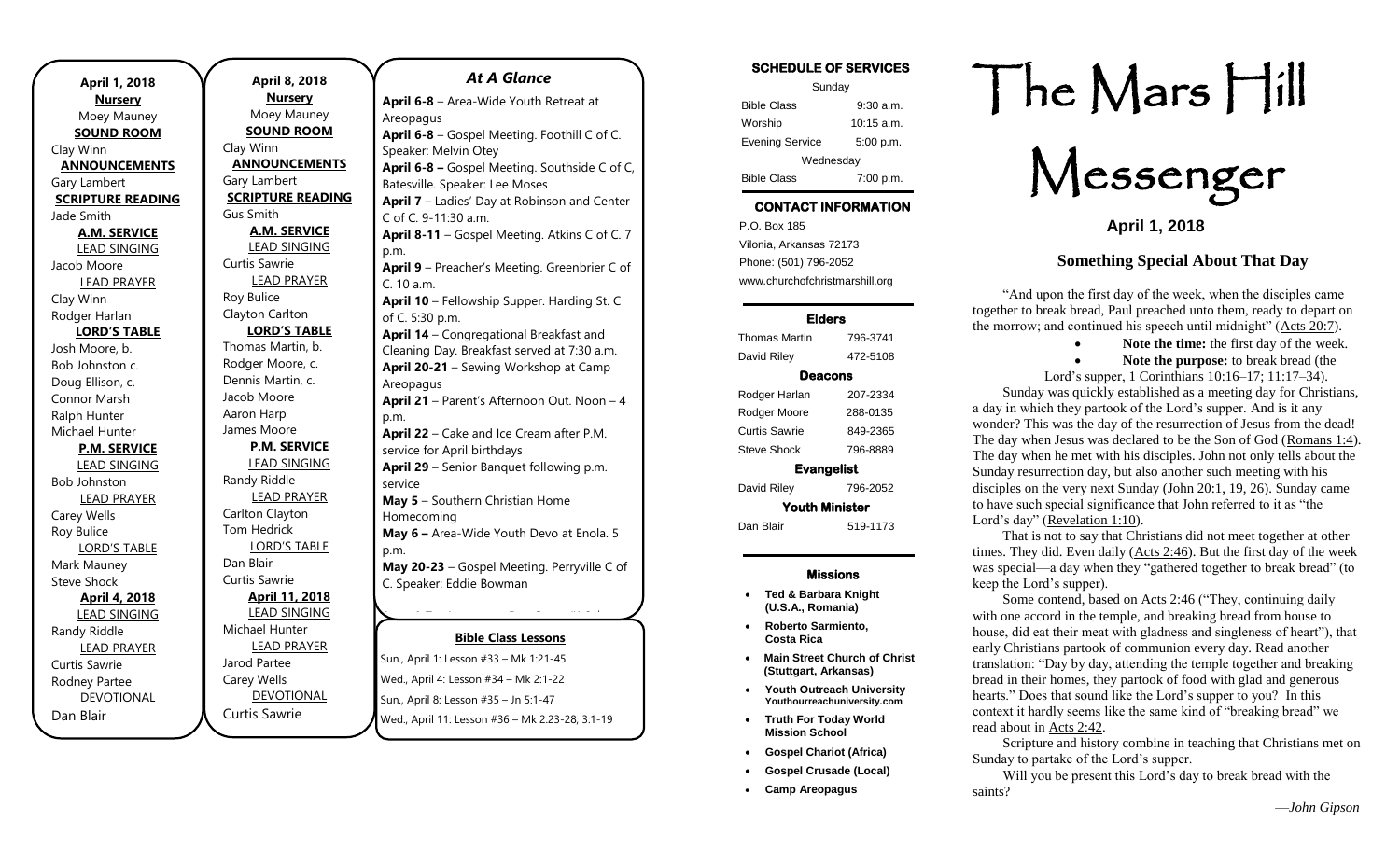|                          |                          | At A Glanc                          |
|--------------------------|--------------------------|-------------------------------------|
| April 1, 2018            | April 8, 2018            |                                     |
| <b>Nursery</b>           | <u>Nurserv</u>           | April 6-8 - Area-Wide Youth         |
| Moey Mauney              | Moey Mauney              | Areopagus                           |
| <b>SOUND ROOM</b>        | <b>SOUND ROOM</b>        | April 6-8 - Gospel Meeting. F       |
| Clay Winn                | Clay Winn                | Speaker: Melvin Otey                |
| <b>ANNOUNCEMENTS</b>     | <b>ANNOUNCEMENTS</b>     | April 6-8 - Gospel Meeting. S       |
| Gary Lambert             | Gary Lambert             | Batesville. Speaker: Lee Moses      |
| <b>SCRIPTURE READING</b> | <b>SCRIPTURE READING</b> | April 7 - Ladies' Day at Robir      |
| Jade Smith               | <b>Gus Smith</b>         | C of C. 9-11:30 a.m.                |
| <b>A.M. SERVICE</b>      | <b>A.M. SERVICE</b>      | April 8-11 - Gospel Meeting.        |
| <b>LEAD SINGING</b>      | <b>LEAD SINGING</b>      | p.m.                                |
| Jacob Moore              | Curtis Sawrie            | April 9 - Preacher's Meeting.       |
| <b>LEAD PRAYER</b>       | <b>LEAD PRAYER</b>       | C. 10 a.m.                          |
| Clay Winn                | Roy Bulice               | April 10 - Fellowship Supper.       |
| Rodger Harlan            | Clayton Carlton          | of C. 5:30 p.m.                     |
| <b>LORD'S TABLE</b>      | <b>LORD'S TABLE</b>      | April 14 - Congregational Bre       |
| Josh Moore, b.           | Thomas Martin, b.        | Cleaning Day. Breakfast serve       |
| Bob Johnston c.          | Rodger Moore, c.         | April 20-21 - Sewing Worksh         |
| Doug Ellison, c.         | Dennis Martin, c.        | Areopagus                           |
| Connor Marsh             | Jacob Moore              | April 21 - Parent's Afternoon       |
| Ralph Hunter             | Aaron Harp               | p.m.                                |
| Michael Hunter           | James Moore              | April 22 - Cake and Ice Crear       |
| <b>P.M. SERVICE</b>      | <b>P.M. SERVICE</b>      | service for April birthdays         |
| <b>LEAD SINGING</b>      | <b>LEAD SINGING</b>      | April 29 - Senior Banquet fol       |
| Bob Johnston             | Randy Riddle             | service                             |
| <b>LEAD PRAYER</b>       | <b>LEAD PRAYER</b>       | May 5 - Southern Christian H        |
| Carey Wells              | Carlton Clayton          | Homecoming                          |
| Roy Bulice               | <b>Tom Hedrick</b>       | May 6 - Area-Wide Youth De          |
| <b>LORD'S TABLE</b>      | <b>LORD'S TABLE</b>      | p.m.                                |
| Mark Mauney              | Dan Blair                | May 20-23 - Gospel Meeting          |
| <b>Steve Shock</b>       | Curtis Sawrie            | C. Speaker: Eddie Bowman            |
| <b>April 4, 2018</b>     | <b>April 11, 2018</b>    |                                     |
| LEAD SINGING             | <b>LEAD SINGING</b>      |                                     |
| Randy Riddle             | Michael Hunter           |                                     |
| <b>LEAD PRAYER</b>       | <b>LEAD PRAYER</b>       | <b>Bible Class Less</b>             |
| Curtis Sawrie            | Jarod Partee             | Sun., April 1: Lesson #33 - Mk 1:2  |
| Rodney Partee            | Carey Wells              | Wed., April 4: Lesson #34 - Mk 2:   |
| <b>DEVOTIONAL</b>        | <b>DEVOTIONAL</b>        | Sun., April 8: Lesson #35 - Jn 5:1- |
| Dan Blair                | Curtis Sawrie            |                                     |
|                          |                          | Wed., April 11: Lesson #36 - Mk 2   |

## **Bible Class Lessons** Sun., April 1: Lesson #33 – Mk 1:21-45 **June 10-16** – Areopagus High School Session Wed., April 4: Lesson #34 – Mk 2:1-22 Sun., April 8: Lesson #35 - Jn 5:1-47 *At A Glance*  **April 6-8** – Area-Wide Youth Retreat at Areopagus **April 6-8** – Gospel Meeting. Foothill C of C. Speaker: Melvin Otey **April 6-8 –** Gospel Meeting. Southside C of C, Batesville. Speaker: Lee Moses **April 7** – Ladies' Day at Robinson and Center C of C. 9-11:30 a.m. **April 8-11** – Gospel Meeting. Atkins C of C. 7 p.m. **April 9** – Preacher's Meeting. Greenbrier C of C. 10 a.m. **April 10** – Fellowship Supper. Harding St. C of C. 5:30 p.m. **April 14** – Congregational Breakfast and Cleaning Day. Breakfast served at 7:30 a.m. **April 20-21** – Sewing Workshop at Camp Areopagus **April 21** – Parent's Afternoon Out. Noon – 4 p.m. **April 22** – Cake and Ice Cream after P.M. service for April birthdays **April 29** – Senior Banquet following p.m. service **May 5** – Southern Christian Home Homecoming **May 6 –** Area-Wide Youth Devo at Enola. 5 p.m. **May 20-23** – Gospel Meeting. Perryville C of C. Speaker: Eddie Bowman **June 4-7** – Areopagus Day Camp (K-3 rd  $\frac{1}{2}$ of Summer Camp (12th Grade) – 19th Camp Camp Camp Camp (12th Grade)

Wed., April 11: Lesson #36 - Mk 2:23-28; 3:1-19

-8

th Grade)

## SCHEDULE OF SERVICES

| Sunday                 |              |  |  |
|------------------------|--------------|--|--|
| <b>Bible Class</b>     | $9:30$ a.m.  |  |  |
| Worship                | $10:15$ a.m. |  |  |
| <b>Evening Service</b> | 5:00 p.m.    |  |  |
| Wednesday              |              |  |  |
| <b>Bible Class</b>     | 7:00 p.m.    |  |  |

# CONTACT INFORMATION

. .o. Box 166<br>Vilonia, Arkansas 72173 P.O. Box 185 Phone: (501) 796-2052 www.churchofchristmarshill.org

#### Elders

| Thomas Martin         | 796-3741 |  |  |
|-----------------------|----------|--|--|
| David Riley           | 472-5108 |  |  |
| Deacons               |          |  |  |
| Rodger Harlan         | 207-2334 |  |  |
| Rodger Moore          | 288-0135 |  |  |
| Curtis Sawrie         | 849-2365 |  |  |
| Steve Shock           | 796-8889 |  |  |
| <b>Evangelist</b>     |          |  |  |
| David Riley           | 796-2052 |  |  |
| <b>Youth Minister</b> |          |  |  |
| Dan Blair             | 519-1173 |  |  |
|                       |          |  |  |

### Missions

- **Ted & Barbara Knight (U.S.A., Romania)**
- **Roberto Sarmiento, Costa Rica**
- **Main Street Church of Christ (Stuttgart, Arkansas)**
- **Youth Outreach University Youthourreachuniversity.com**
- **Truth For Today World Mission School**
- **Gospel Chariot (Africa)**
- **Gospel Crusade (Local)**
- **Camp Areopagus**

# The Mars Hill

Messenger

**April 1, 2018**

## **Something Special About That Day**

"And upon the first day of the week, when the disciples came together to break bread, Paul preached unto them, ready to depart on the morrow; and continued his speech until midnight" [\(Acts 20:7\)](https://biblia.com/bible/kjv1900/Acts%2020.7).

• **Note the time:** the first day of the week.

• **Note the purpose:** to break bread (the

Lord's supper, [1 Corinthians 10:16–17;](https://biblia.com/bible/kjv1900/1%20Cor%2010.16%E2%80%9317) [11:17–34\)](https://biblia.com/bible/kjv1900/1%20Corinthians%2011.17%E2%80%9334). Sunday was quickly established as a meeting day for Christians, a day in which they partook of the Lord's supper. And is it any wonder? This was the day of the resurrection of Jesus from the dead! The day when Jesus was declared to be the Son of God [\(Romans 1:4\)](https://biblia.com/bible/kjv1900/Rom%201.4). The day when he met with his disciples. John not only tells about the Sunday resurrection day, but also another such meeting with his disciples on the very next Sunday [\(John 20:1,](https://biblia.com/bible/kjv1900/John%2020.1) [19,](https://biblia.com/bible/kjv1900/John%2020.19) [26\)](https://biblia.com/bible/kjv1900/John%2020.26). Sunday came to have such special significance that John referred to it as "the Lord's day" [\(Revelation 1:10\)](https://biblia.com/bible/kjv1900/Rev%201.10).

That is not to say that Christians did not meet together at other times. They did. Even daily [\(Acts 2:46\)](https://biblia.com/bible/kjv1900/Acts%202.46). But the first day of the week was special—a day when they "gathered together to break bread" (to keep the Lord's supper).

Some contend, based o[n Acts 2:46](https://biblia.com/bible/kjv1900/Acts%202.46) ("They, continuing daily with one accord in the temple, and breaking bread from house to house, did eat their meat with gladness and singleness of heart"), that early Christians partook of communion every day. Read another translation: "Day by day, attending the temple together and breaking bread in their homes, they partook of food with glad and generous hearts." Does that sound like the Lord's supper to you? In this context it hardly seems like the same kind of "breaking bread" we read about in [Acts 2:42.](https://biblia.com/bible/kjv1900/Acts%202.42)

Scripture and history combine in teaching that Christians met on Sunday to partake of the Lord's supper.

Will you be present this Lord's day to break bread with the saints?